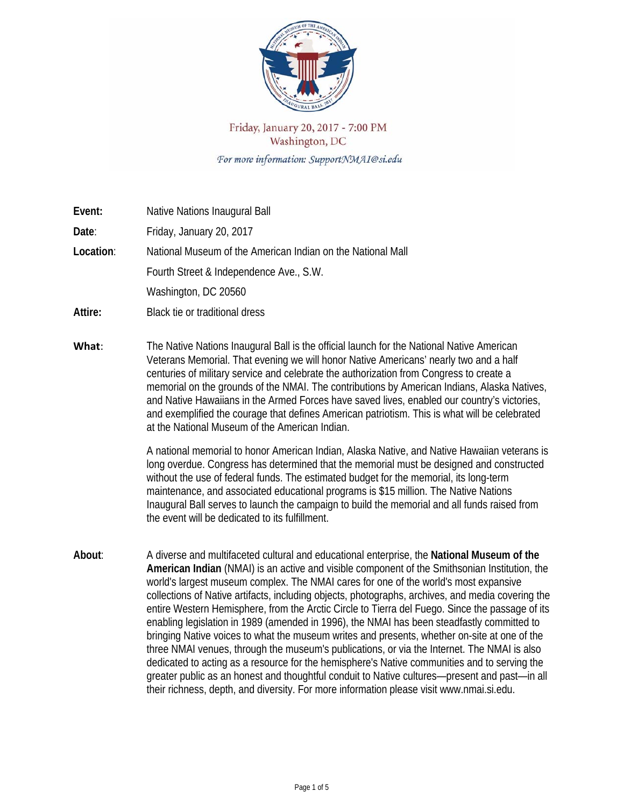

## Friday, January 20, 2017 - 7:00 PM Washington, DC For more information: SupportNMAI@si.edu

| Event:    | Native Nations Inaugural Ball                                                                                                                                                                                                                                                                                                                                                                                                                                                                                                                                                                                                                                                                                                                                                                                                                                                            |
|-----------|------------------------------------------------------------------------------------------------------------------------------------------------------------------------------------------------------------------------------------------------------------------------------------------------------------------------------------------------------------------------------------------------------------------------------------------------------------------------------------------------------------------------------------------------------------------------------------------------------------------------------------------------------------------------------------------------------------------------------------------------------------------------------------------------------------------------------------------------------------------------------------------|
| Date:     | Friday, January 20, 2017                                                                                                                                                                                                                                                                                                                                                                                                                                                                                                                                                                                                                                                                                                                                                                                                                                                                 |
| Location: | National Museum of the American Indian on the National Mall                                                                                                                                                                                                                                                                                                                                                                                                                                                                                                                                                                                                                                                                                                                                                                                                                              |
|           | Fourth Street & Independence Ave., S.W.                                                                                                                                                                                                                                                                                                                                                                                                                                                                                                                                                                                                                                                                                                                                                                                                                                                  |
|           | Washington, DC 20560                                                                                                                                                                                                                                                                                                                                                                                                                                                                                                                                                                                                                                                                                                                                                                                                                                                                     |
| Attire:   | Black tie or traditional dress                                                                                                                                                                                                                                                                                                                                                                                                                                                                                                                                                                                                                                                                                                                                                                                                                                                           |
| What:     | The Native Nations Inaugural Ball is the official launch for the National Native American<br>Veterans Memorial. That evening we will honor Native Americans' nearly two and a half<br>centuries of military service and celebrate the authorization from Congress to create a<br>memorial on the grounds of the NMAI. The contributions by American Indians, Alaska Natives,<br>and Native Hawaiians in the Armed Forces have saved lives, enabled our country's victories,<br>and exemplified the courage that defines American patriotism. This is what will be celebrated<br>at the National Museum of the American Indian.                                                                                                                                                                                                                                                           |
|           | A national memorial to honor American Indian, Alaska Native, and Native Hawaiian veterans is<br>long overdue. Congress has determined that the memorial must be designed and constructed<br>without the use of federal funds. The estimated budget for the memorial, its long-term<br>maintenance, and associated educational programs is \$15 million. The Native Nations<br>Inaugural Ball serves to launch the campaign to build the memorial and all funds raised from<br>the event will be dedicated to its fulfillment.                                                                                                                                                                                                                                                                                                                                                            |
| About:    | A diverse and multifaceted cultural and educational enterprise, the National Museum of the<br>American Indian (NMAI) is an active and visible component of the Smithsonian Institution, the<br>world's largest museum complex. The NMAI cares for one of the world's most expansive<br>collections of Native artifacts, including objects, photographs, archives, and media covering the<br>entire Western Hemisphere, from the Arctic Circle to Tierra del Fuego. Since the passage of its<br>enabling legislation in 1989 (amended in 1996), the NMAI has been steadfastly committed to<br>bringing Native voices to what the museum writes and presents, whether on-site at one of the<br>three NMAI venues, through the museum's publications, or via the Internet. The NMAI is also<br>dedicated to acting as a resource for the hemisphere's Native communities and to serving the |

greater public as an honest and thoughtful conduit to Native cultures—present and past—in all

their richness, depth, and diversity. For more information please visit www.nmai.si.edu.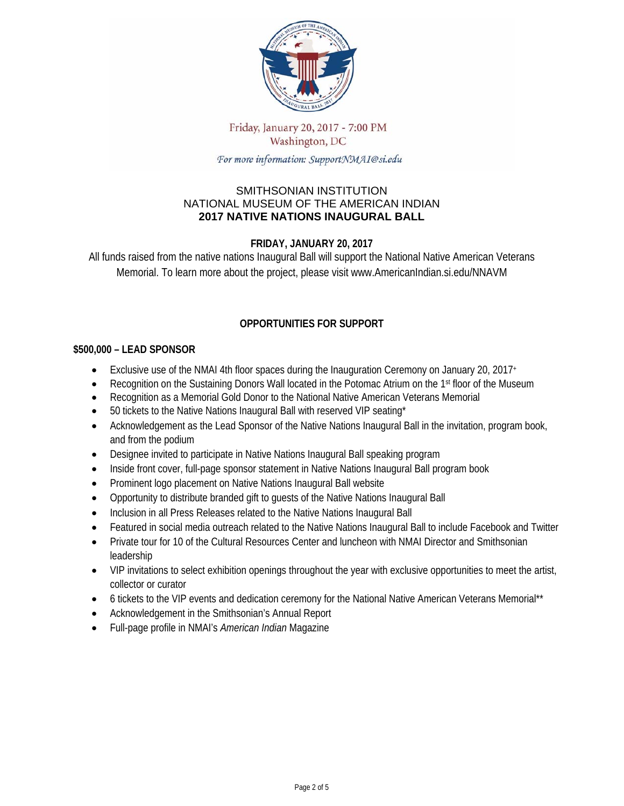

## Friday, January 20, 2017 - 7:00 PM Washington, DC

For more information: SupportNMAI@si.edu

#### SMITHSONIAN INSTITUTION NATIONAL MUSEUM OF THE AMERICAN INDIAN **2017 NATIVE NATIONS INAUGURAL BALL**

### **FRIDAY, JANUARY 20, 2017**

All funds raised from the native nations Inaugural Ball will support the National Native American Veterans Memorial. To learn more about the project, please visit www.AmericanIndian.si.edu/NNAVM

## **OPPORTUNITIES FOR SUPPORT**

#### **\$500,000 – LEAD SPONSOR**

- Exclusive use of the NMAI 4th floor spaces during the Inauguration Ceremony on January 20, 2017+
- Recognition on the Sustaining Donors Wall located in the Potomac Atrium on the 1st floor of the Museum
- Recognition as a Memorial Gold Donor to the National Native American Veterans Memorial
- 50 tickets to the Native Nations Inaugural Ball with reserved VIP seating\*
- Acknowledgement as the Lead Sponsor of the Native Nations Inaugural Ball in the invitation, program book, and from the podium
- Designee invited to participate in Native Nations Inaugural Ball speaking program
- Inside front cover, full-page sponsor statement in Native Nations Inaugural Ball program book
- Prominent logo placement on Native Nations Inaugural Ball website
- Opportunity to distribute branded gift to guests of the Native Nations Inaugural Ball
- Inclusion in all Press Releases related to the Native Nations Inaugural Ball
- Featured in social media outreach related to the Native Nations Inaugural Ball to include Facebook and Twitter
- Private tour for 10 of the Cultural Resources Center and luncheon with NMAI Director and Smithsonian leadership
- VIP invitations to select exhibition openings throughout the year with exclusive opportunities to meet the artist, collector or curator
- 6 tickets to the VIP events and dedication ceremony for the National Native American Veterans Memorial<sup>\*\*</sup>
- Acknowledgement in the Smithsonian's Annual Report
- Full-page profile in NMAI's *American Indian* Magazine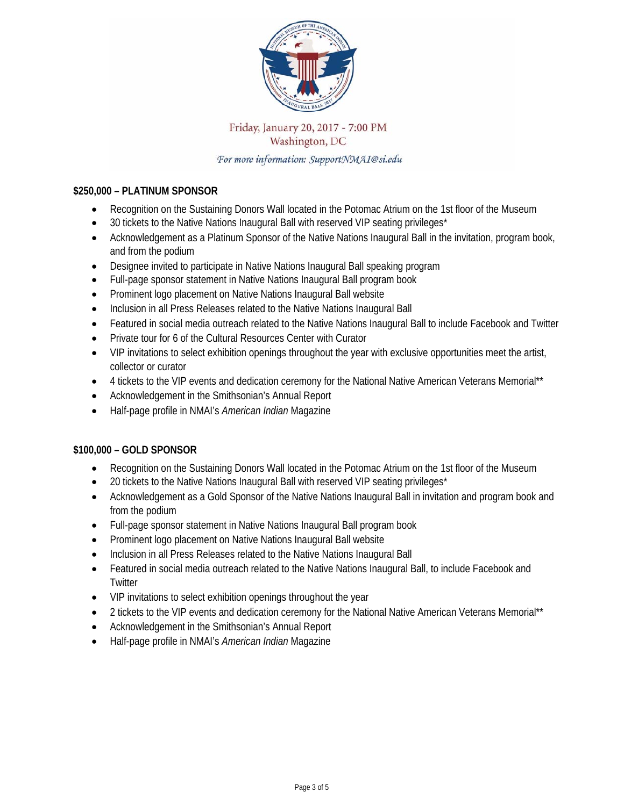

## Friday, January 20, 2017 - 7:00 PM Washington, DC

For more information: SupportNMAI@si.edu

#### **\$250,000 – PLATINUM SPONSOR**

- Recognition on the Sustaining Donors Wall located in the Potomac Atrium on the 1st floor of the Museum
- 30 tickets to the Native Nations Inaugural Ball with reserved VIP seating privileges\*
- Acknowledgement as a Platinum Sponsor of the Native Nations Inaugural Ball in the invitation, program book, and from the podium
- Designee invited to participate in Native Nations Inaugural Ball speaking program
- Full-page sponsor statement in Native Nations Inaugural Ball program book
- Prominent logo placement on Native Nations Inaugural Ball website
- Inclusion in all Press Releases related to the Native Nations Inaugural Ball
- Featured in social media outreach related to the Native Nations Inaugural Ball to include Facebook and Twitter
- Private tour for 6 of the Cultural Resources Center with Curator
- VIP invitations to select exhibition openings throughout the year with exclusive opportunities meet the artist, collector or curator
- 4 tickets to the VIP events and dedication ceremony for the National Native American Veterans Memorial\*\*
- Acknowledgement in the Smithsonian's Annual Report
- Half-page profile in NMAI's *American Indian* Magazine

#### **\$100,000 – GOLD SPONSOR**

- Recognition on the Sustaining Donors Wall located in the Potomac Atrium on the 1st floor of the Museum
- 20 tickets to the Native Nations Inaugural Ball with reserved VIP seating privileges\*
- Acknowledgement as a Gold Sponsor of the Native Nations Inaugural Ball in invitation and program book and from the podium
- Full-page sponsor statement in Native Nations Inaugural Ball program book
- Prominent logo placement on Native Nations Inaugural Ball website
- Inclusion in all Press Releases related to the Native Nations Inaugural Ball
- Featured in social media outreach related to the Native Nations Inaugural Ball, to include Facebook and **Twitter**
- VIP invitations to select exhibition openings throughout the year
- 2 tickets to the VIP events and dedication ceremony for the National Native American Veterans Memorial\*\*
- Acknowledgement in the Smithsonian's Annual Report
- Half-page profile in NMAI's *American Indian* Magazine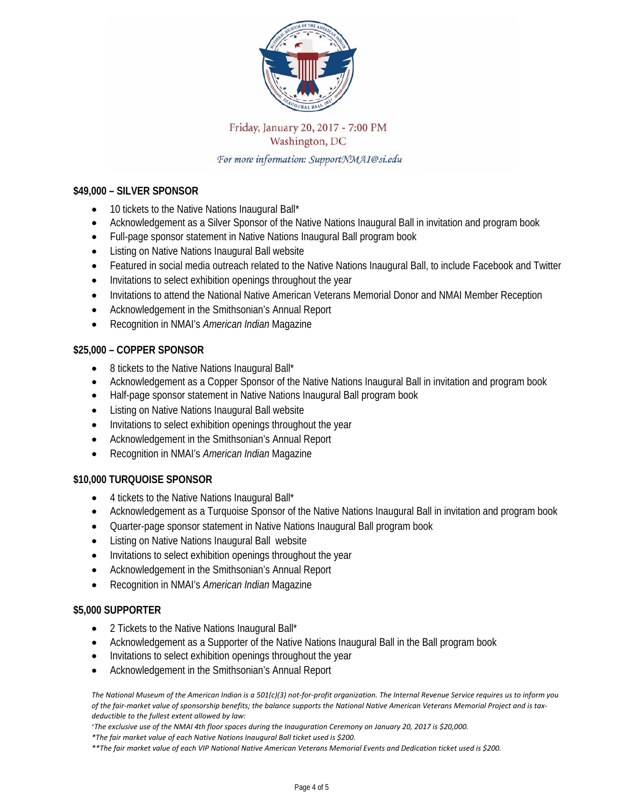

# Friday, January 20, 2017 - 7:00 PM Washington, DC

For more information: SupportNMAI@si.edu

#### **\$49,000 – SILVER SPONSOR**

- 10 tickets to the Native Nations Inaugural Ball\*
- Acknowledgement as a Silver Sponsor of the Native Nations Inaugural Ball in invitation and program book
- Full-page sponsor statement in Native Nations Inaugural Ball program book
- Listing on Native Nations Inaugural Ball website
- Featured in social media outreach related to the Native Nations Inaugural Ball, to include Facebook and Twitter
- Invitations to select exhibition openings throughout the year
- Invitations to attend the National Native American Veterans Memorial Donor and NMAI Member Reception
- Acknowledgement in the Smithsonian's Annual Report
- Recognition in NMAI's *American Indian* Magazine

#### **\$25,000 – COPPER SPONSOR**

- 8 tickets to the Native Nations Inaugural Ball\*
- Acknowledgement as a Copper Sponsor of the Native Nations Inaugural Ball in invitation and program book
- Half-page sponsor statement in Native Nations Inaugural Ball program book
- Listing on Native Nations Inaugural Ball website
- Invitations to select exhibition openings throughout the year
- Acknowledgement in the Smithsonian's Annual Report
- Recognition in NMAI's *American Indian* Magazine

#### **\$10,000 TURQUOISE SPONSOR**

- 4 tickets to the Native Nations Inaugural Ball\*
- Acknowledgement as a Turquoise Sponsor of the Native Nations Inaugural Ball in invitation and program book
- Quarter-page sponsor statement in Native Nations Inaugural Ball program book
- Listing on Native Nations Inaugural Ball website
- Invitations to select exhibition openings throughout the year
- Acknowledgement in the Smithsonian's Annual Report
- Recognition in NMAI's *American Indian* Magazine

#### **\$5,000 SUPPORTER**

- 2 Tickets to the Native Nations Inaugural Ball\*
- Acknowledgement as a Supporter of the Native Nations Inaugural Ball in the Ball program book
- Invitations to select exhibition openings throughout the year
- Acknowledgement in the Smithsonian's Annual Report

The National Museum of the American Indian is a 501(c)(3) not-for-profit organization. The Internal Revenue Service requires us to inform you of the fair-market value of sponsorship benefits; the balance supports the National Native American Veterans Memorial Project and is tax*deductible to the fullest extent allowed by law:* 

\*The exclusive use of the NMAI 4th floor spaces during the Inauguration Ceremony on January 20, 2017 is \$20,000.

*\*The fair market value of each Native Nations Inaugural Ball ticket used is \$200.*

\*\* The fair market value of each VIP National Native American Veterans Memorial Events and Dedication ticket used is \$200.